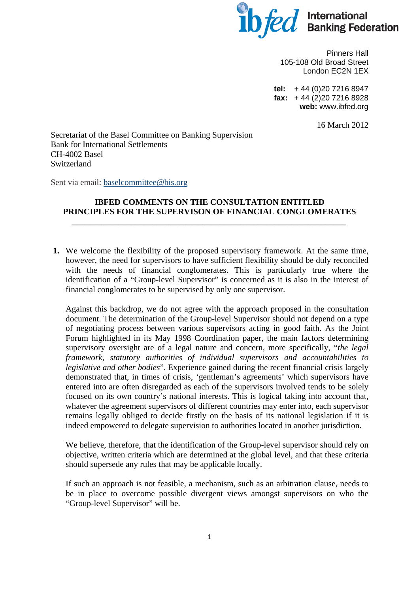

Pinners Hall 105-108 Old Broad Street London EC2N 1EX

**tel:** + 44 (0)20 7216 8947 **fax:** + 44 (2)20 7216 8928 **web:** www.ibfed.org

16 March 2012

Secretariat of the Basel Committee on Banking Supervision Bank for International Settlements CH-4002 Basel Switzerland

Sent via email: [baselcommittee@bis.org](mailto:baselcommittee@bis.org)

## **IBFED COMMENTS ON THE CONSULTATION ENTITLED PRINCIPLES FOR THE SUPERVISON OF FINANCIAL CONGLOMERATES**

*\_\_\_\_\_\_\_\_\_\_\_\_\_\_\_\_\_\_\_\_\_\_\_\_\_\_\_\_\_\_\_\_\_\_\_\_\_\_\_\_\_\_\_\_\_\_\_\_\_\_\_\_\_\_\_\_\_\_\_\_\_\_\_\_\_* 

**1.** We welcome the flexibility of the proposed supervisory framework. At the same time, however, the need for supervisors to have sufficient flexibility should be duly reconciled with the needs of financial conglomerates. This is particularly true where the identification of a "Group-level Supervisor" is concerned as it is also in the interest of financial conglomerates to be supervised by only one supervisor.

Against this backdrop, we do not agree with the approach proposed in the consultation document. The determination of the Group-level Supervisor should not depend on a type of negotiating process between various supervisors acting in good faith. As the Joint Forum highlighted in its May 1998 Coordination paper, the main factors determining supervisory oversight are of a legal nature and concern, more specifically, "*the legal framework, statutory authorities of individual supervisors and accountabilities to legislative and other bodies*". Experience gained during the recent financial crisis largely demonstrated that, in times of crisis, 'gentleman's agreements' which supervisors have entered into are often disregarded as each of the supervisors involved tends to be solely focused on its own country's national interests. This is logical taking into account that, whatever the agreement supervisors of different countries may enter into, each supervisor remains legally obliged to decide firstly on the basis of its national legislation if it is indeed empowered to delegate supervision to authorities located in another jurisdiction.

We believe, therefore, that the identification of the Group-level supervisor should rely on objective, written criteria which are determined at the global level, and that these criteria should supersede any rules that may be applicable locally.

If such an approach is not feasible, a mechanism, such as an arbitration clause, needs to be in place to overcome possible divergent views amongst supervisors on who the "Group-level Supervisor" will be.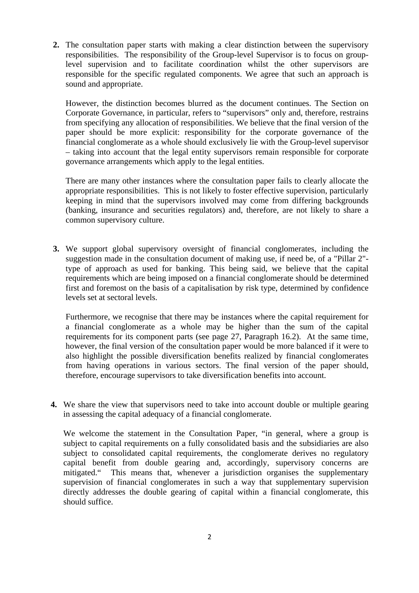**2.** The consultation paper starts with making a clear distinction between the supervisory responsibilities. The responsibility of the Group-level Supervisor is to focus on grouplevel supervision and to facilitate coordination whilst the other supervisors are responsible for the specific regulated components. We agree that such an approach is sound and appropriate.

However, the distinction becomes blurred as the document continues. The Section on Corporate Governance, in particular, refers to "supervisors" only and, therefore, restrains from specifying any allocation of responsibilities. We believe that the final version of the paper should be more explicit: responsibility for the corporate governance of the financial conglomerate as a whole should exclusively lie with the Group-level supervisor – taking into account that the legal entity supervisors remain responsible for corporate governance arrangements which apply to the legal entities.

There are many other instances where the consultation paper fails to clearly allocate the appropriate responsibilities. This is not likely to foster effective supervision, particularly keeping in mind that the supervisors involved may come from differing backgrounds (banking, insurance and securities regulators) and, therefore, are not likely to share a common supervisory culture.

**3.** We support global supervisory oversight of financial conglomerates, including the suggestion made in the consultation document of making use, if need be, of a "Pillar 2" type of approach as used for banking. This being said, we believe that the capital requirements which are being imposed on a financial conglomerate should be determined first and foremost on the basis of a capitalisation by risk type, determined by confidence levels set at sectoral levels.

Furthermore, we recognise that there may be instances where the capital requirement for a financial conglomerate as a whole may be higher than the sum of the capital requirements for its component parts (see page 27, Paragraph 16.2). At the same time, however, the final version of the consultation paper would be more balanced if it were to also highlight the possible diversification benefits realized by financial conglomerates from having operations in various sectors. The final version of the paper should, therefore, encourage supervisors to take diversification benefits into account.

**4.** We share the view that supervisors need to take into account double or multiple gearing in assessing the capital adequacy of a financial conglomerate.

We welcome the statement in the Consultation Paper, "in general, where a group is subject to capital requirements on a fully consolidated basis and the subsidiaries are also subject to consolidated capital requirements, the conglomerate derives no regulatory capital benefit from double gearing and, accordingly, supervisory concerns are mitigated." This means that, whenever a jurisdiction organises the supplementary supervision of financial conglomerates in such a way that supplementary supervision directly addresses the double gearing of capital within a financial conglomerate, this should suffice.